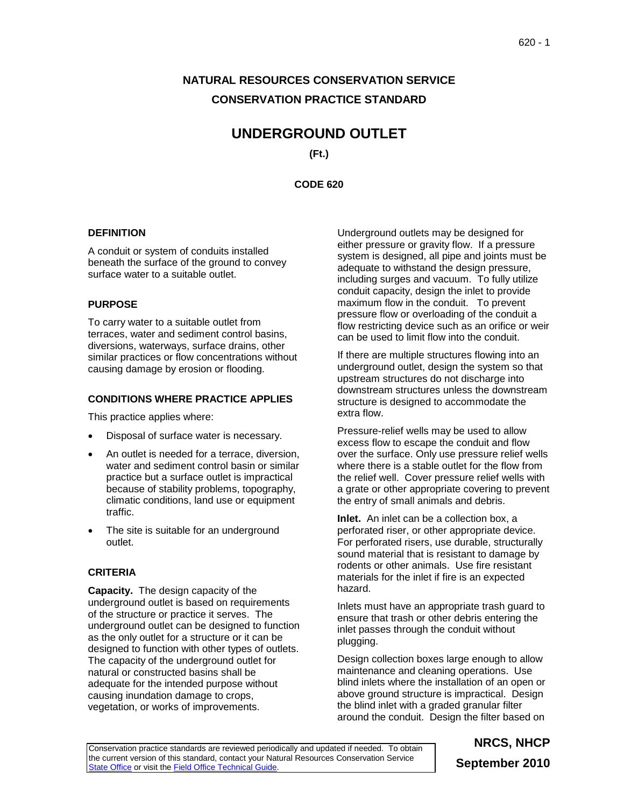# **NATURAL RESOURCES CONSERVATION SERVICE CONSERVATION PRACTICE STANDARD**

# **UNDERGROUND OUTLET**

**(Ft.)**

**CODE 620**

### **DEFINITION**

A conduit or system of conduits installed beneath the surface of the ground to convey surface water to a suitable outlet.

### **PURPOSE**

To carry water to a suitable outlet from terraces, water and sediment control basins, diversions, waterways, surface drains, other similar practices or flow concentrations without causing damage by erosion or flooding.

### **CONDITIONS WHERE PRACTICE APPLIES**

This practice applies where:

- Disposal of surface water is necessary.
- An outlet is needed for a terrace, diversion, water and sediment control basin or similar practice but a surface outlet is impractical because of stability problems, topography, climatic conditions, land use or equipment traffic.
- The site is suitable for an underground outlet.

## **CRITERIA**

**Capacity.** The design capacity of the underground outlet is based on requirements of the structure or practice it serves. The underground outlet can be designed to function as the only outlet for a structure or it can be designed to function with other types of outlets. The capacity of the underground outlet for natural or constructed basins shall be adequate for the intended purpose without causing inundation damage to crops, vegetation, or works of improvements.

Underground outlets may be designed for either pressure or gravity flow. If a pressure system is designed, all pipe and joints must be adequate to withstand the design pressure, including surges and vacuum. To fully utilize conduit capacity, design the inlet to provide maximum flow in the conduit. To prevent pressure flow or overloading of the conduit a flow restricting device such as an orifice or weir can be used to limit flow into the conduit.

If there are multiple structures flowing into an underground outlet, design the system so that upstream structures do not discharge into downstream structures unless the downstream structure is designed to accommodate the extra flow.

Pressure-relief wells may be used to allow excess flow to escape the conduit and flow over the surface. Only use pressure relief wells where there is a stable outlet for the flow from the relief well. Cover pressure relief wells with a grate or other appropriate covering to prevent the entry of small animals and debris.

**Inlet.** An inlet can be a collection box, a perforated riser, or other appropriate device. For perforated risers, use durable, structurally sound material that is resistant to damage by rodents or other animals. Use fire resistant materials for the inlet if fire is an expected hazard.

Inlets must have an appropriate trash guard to ensure that trash or other debris entering the inlet passes through the conduit without plugging.

Design collection boxes large enough to allow maintenance and cleaning operations. Use blind inlets where the installation of an open or above ground structure is impractical. Design the blind inlet with a graded granular filter around the conduit. Design the filter based on

Conservation practice standards are reviewed periodically and updated if needed. To obtain the current version of this standard, contact your Natural Resources Conservation Service [State Office](http://www.nrcs.usda.gov/about/organization/regions.html) or visit th[e Field Office Technical Guide.](http://www.nrcs.usda.gov/technical/efotg)

# **NRCS, NHCP September 2010**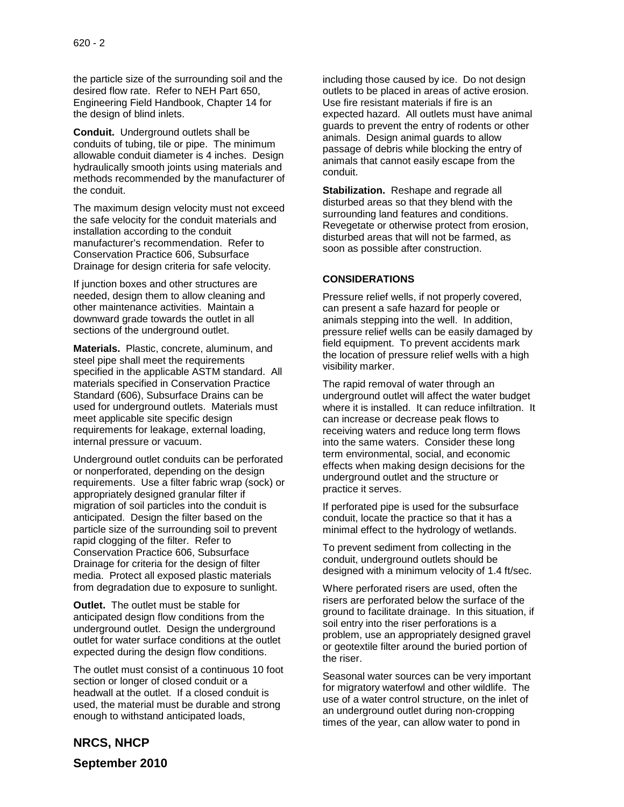the particle size of the surrounding soil and the desired flow rate. Refer to NEH Part 650, Engineering Field Handbook, Chapter 14 for the design of blind inlets.

**Conduit.** Underground outlets shall be conduits of tubing, tile or pipe. The minimum allowable conduit diameter is 4 inches. Design hydraulically smooth joints using materials and methods recommended by the manufacturer of the conduit.

The maximum design velocity must not exceed the safe velocity for the conduit materials and installation according to the conduit manufacturer's recommendation. Refer to Conservation Practice 606, Subsurface Drainage for design criteria for safe velocity.

If junction boxes and other structures are needed, design them to allow cleaning and other maintenance activities. Maintain a downward grade towards the outlet in all sections of the underground outlet.

**Materials.** Plastic, concrete, aluminum, and steel pipe shall meet the requirements specified in the applicable ASTM standard. All materials specified in Conservation Practice Standard (606), Subsurface Drains can be used for underground outlets. Materials must meet applicable site specific design requirements for leakage, external loading, internal pressure or vacuum.

Underground outlet conduits can be perforated or nonperforated, depending on the design requirements. Use a filter fabric wrap (sock) or appropriately designed granular filter if migration of soil particles into the conduit is anticipated. Design the filter based on the particle size of the surrounding soil to prevent rapid clogging of the filter. Refer to Conservation Practice 606, Subsurface Drainage for criteria for the design of filter media. Protect all exposed plastic materials from degradation due to exposure to sunlight.

**Outlet.** The outlet must be stable for anticipated design flow conditions from the underground outlet. Design the underground outlet for water surface conditions at the outlet expected during the design flow conditions.

The outlet must consist of a continuous 10 foot section or longer of closed conduit or a headwall at the outlet. If a closed conduit is used, the material must be durable and strong enough to withstand anticipated loads,

including those caused by ice. Do not design outlets to be placed in areas of active erosion. Use fire resistant materials if fire is an expected hazard. All outlets must have animal guards to prevent the entry of rodents or other animals. Design animal guards to allow passage of debris while blocking the entry of animals that cannot easily escape from the conduit.

**Stabilization.** Reshape and regrade all disturbed areas so that they blend with the surrounding land features and conditions. Revegetate or otherwise protect from erosion, disturbed areas that will not be farmed, as soon as possible after construction.

### **CONSIDERATIONS**

Pressure relief wells, if not properly covered, can present a safe hazard for people or animals stepping into the well. In addition, pressure relief wells can be easily damaged by field equipment. To prevent accidents mark the location of pressure relief wells with a high visibility marker.

The rapid removal of water through an underground outlet will affect the water budget where it is installed. It can reduce infiltration. It can increase or decrease peak flows to receiving waters and reduce long term flows into the same waters. Consider these long term environmental, social, and economic effects when making design decisions for the underground outlet and the structure or practice it serves.

If perforated pipe is used for the subsurface conduit, locate the practice so that it has a minimal effect to the hydrology of wetlands.

To prevent sediment from collecting in the conduit, underground outlets should be designed with a minimum velocity of 1.4 ft/sec.

Where perforated risers are used, often the risers are perforated below the surface of the ground to facilitate drainage. In this situation, if soil entry into the riser perforations is a problem, use an appropriately designed gravel or geotextile filter around the buried portion of the riser.

Seasonal water sources can be very important for migratory waterfowl and other wildlife. The use of a water control structure, on the inlet of an underground outlet during non-cropping times of the year, can allow water to pond in